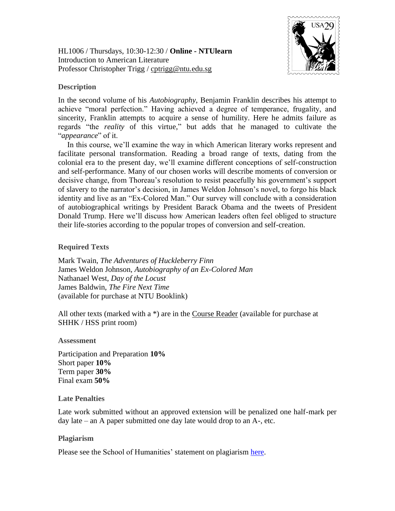HL1006 / Thursdays, 10:30-12:30 / **Online - NTUlearn** Introduction to American Literature Professor Christopher Trigg / [cptrigg@ntu.edu.sg](mailto:cptrigg@ntu.edu.sg)



# **Description**

In the second volume of his *Autobiography*, Benjamin Franklin describes his attempt to achieve "moral perfection." Having achieved a degree of temperance, frugality, and sincerity, Franklin attempts to acquire a sense of humility. Here he admits failure as regards "the *reality* of this virtue," but adds that he managed to cultivate the "*appearance*" of it.

In this course, we'll examine the way in which American literary works represent and facilitate personal transformation. Reading a broad range of texts, dating from the colonial era to the present day, we'll examine different conceptions of self-construction and self-performance. Many of our chosen works will describe moments of conversion or decisive change, from Thoreau's resolution to resist peacefully his government's support of slavery to the narrator's decision, in James Weldon Johnson's novel, to forgo his black identity and live as an "Ex-Colored Man." Our survey will conclude with a consideration of autobiographical writings by President Barack Obama and the tweets of President Donald Trump. Here we'll discuss how American leaders often feel obliged to structure their life-stories according to the popular tropes of conversion and self-creation.

## **Required Texts**

Mark Twain, *The Adventures of Huckleberry Finn* James Weldon Johnson, *Autobiography of an Ex-Colored Man* Nathanael West, *Day of the Locust* James Baldwin, *The Fire Next Time* (available for purchase at NTU Booklink)

All other texts (marked with a \*) are in the Course Reader (available for purchase at SHHK / HSS print room)

### **Assessment**

Participation and Preparation **10%** Short paper **10%** Term paper **30%** Final exam **50%**

### **Late Penalties**

Late work submitted without an approved extension will be penalized one half-mark per day late – an A paper submitted one day late would drop to an A-, etc.

### **Plagiarism**

Please see the School of Humanities' statement on plagiarism [here.](http://www.soh.ntu.edu.sg/Programmes/history/Documents/HASS%20Plagiarism%20Policy%20Undergraduate%20For%20General%20Distribution.pdf)